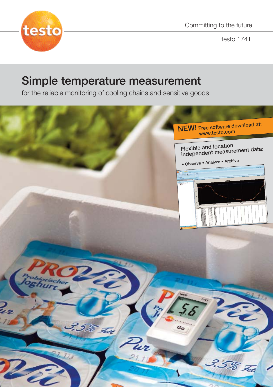

Committing to the future

testo 174T

# Simple temperature measurement

for the reliable monitoring of cooling chains and sensitive goods